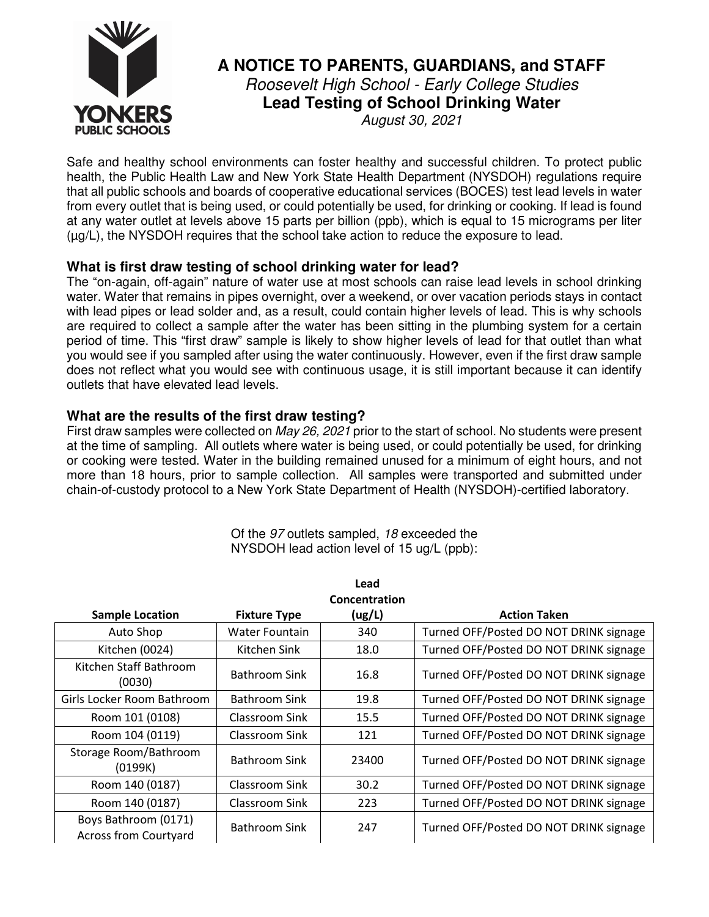

# **A NOTICE TO PARENTS, GUARDIANS, and STAFF**  Roosevelt High School - Early College Studies

**Lead Testing of School Drinking Water** 

August 30, 2021

Safe and healthy school environments can foster healthy and successful children. To protect public health, the Public Health Law and New York State Health Department (NYSDOH) regulations require that all public schools and boards of cooperative educational services (BOCES) test lead levels in water from every outlet that is being used, or could potentially be used, for drinking or cooking. If lead is found at any water outlet at levels above 15 parts per billion (ppb), which is equal to 15 micrograms per liter (µg/L), the NYSDOH requires that the school take action to reduce the exposure to lead.

## **What is first draw testing of school drinking water for lead?**

The "on-again, off-again" nature of water use at most schools can raise lead levels in school drinking water. Water that remains in pipes overnight, over a weekend, or over vacation periods stays in contact with lead pipes or lead solder and, as a result, could contain higher levels of lead. This is why schools are required to collect a sample after the water has been sitting in the plumbing system for a certain period of time. This "first draw" sample is likely to show higher levels of lead for that outlet than what you would see if you sampled after using the water continuously. However, even if the first draw sample does not reflect what you would see with continuous usage, it is still important because it can identify outlets that have elevated lead levels.

## **What are the results of the first draw testing?**

First draw samples were collected on May 26, 2021 prior to the start of school. No students were present at the time of sampling. All outlets where water is being used, or could potentially be used, for drinking or cooking were tested. Water in the building remained unused for a minimum of eight hours, and not more than 18 hours, prior to sample collection. All samples were transported and submitted under chain-of-custody protocol to a New York State Department of Health (NYSDOH)-certified laboratory.

| <b>Sample Location</b>                               | <b>Fixture Type</b>  | Lead<br>Concentration<br>(ug/L) | <b>Action Taken</b>                    |
|------------------------------------------------------|----------------------|---------------------------------|----------------------------------------|
| Auto Shop                                            | Water Fountain       | 340                             | Turned OFF/Posted DO NOT DRINK signage |
| Kitchen (0024)                                       | Kitchen Sink         | 18.0                            | Turned OFF/Posted DO NOT DRINK signage |
| Kitchen Staff Bathroom<br>(0030)                     | <b>Bathroom Sink</b> | 16.8                            | Turned OFF/Posted DO NOT DRINK signage |
| Girls Locker Room Bathroom                           | Bathroom Sink        | 19.8                            | Turned OFF/Posted DO NOT DRINK signage |
| Room 101 (0108)                                      | Classroom Sink       | 15.5                            | Turned OFF/Posted DO NOT DRINK signage |
| Room 104 (0119)                                      | Classroom Sink       | 121                             | Turned OFF/Posted DO NOT DRINK signage |
| Storage Room/Bathroom<br>(0199K)                     | Bathroom Sink        | 23400                           | Turned OFF/Posted DO NOT DRINK signage |
| Room 140 (0187)                                      | Classroom Sink       | 30.2                            | Turned OFF/Posted DO NOT DRINK signage |
| Room 140 (0187)                                      | Classroom Sink       | 223                             | Turned OFF/Posted DO NOT DRINK signage |
| Boys Bathroom (0171)<br><b>Across from Courtyard</b> | <b>Bathroom Sink</b> | 247                             | Turned OFF/Posted DO NOT DRINK signage |

Of the 97 outlets sampled, 18 exceeded the NYSDOH lead action level of 15 ug/L (ppb):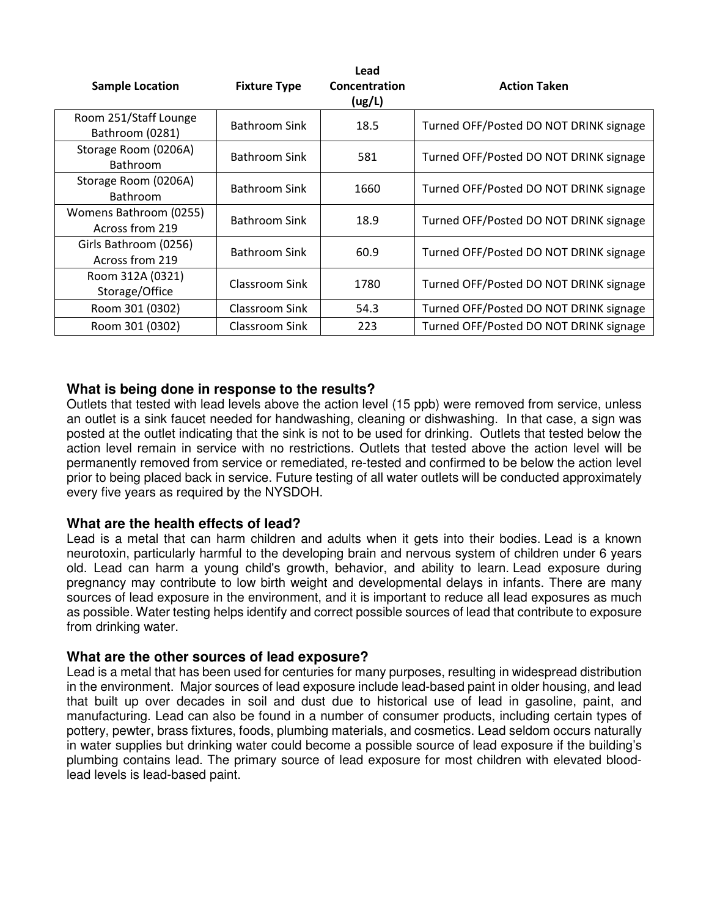| <b>Sample Location</b>                    | <b>Fixture Type</b>  | Lead<br>Concentration<br>(ug/L) | <b>Action Taken</b>                    |
|-------------------------------------------|----------------------|---------------------------------|----------------------------------------|
| Room 251/Staff Lounge<br>Bathroom (0281)  | <b>Bathroom Sink</b> | 18.5                            | Turned OFF/Posted DO NOT DRINK signage |
| Storage Room (0206A)<br><b>Bathroom</b>   | Bathroom Sink        | 581                             | Turned OFF/Posted DO NOT DRINK signage |
| Storage Room (0206A)<br><b>Bathroom</b>   | Bathroom Sink        | 1660                            | Turned OFF/Posted DO NOT DRINK signage |
| Womens Bathroom (0255)<br>Across from 219 | <b>Bathroom Sink</b> | 18.9                            | Turned OFF/Posted DO NOT DRINK signage |
| Girls Bathroom (0256)<br>Across from 219  | Bathroom Sink        | 60.9                            | Turned OFF/Posted DO NOT DRINK signage |
| Room 312A (0321)<br>Storage/Office        | Classroom Sink       | 1780                            | Turned OFF/Posted DO NOT DRINK signage |
| Room 301 (0302)                           | Classroom Sink       | 54.3                            | Turned OFF/Posted DO NOT DRINK signage |
| Room 301 (0302)                           | Classroom Sink       | 223                             | Turned OFF/Posted DO NOT DRINK signage |

## **What is being done in response to the results?**

Outlets that tested with lead levels above the action level (15 ppb) were removed from service, unless an outlet is a sink faucet needed for handwashing, cleaning or dishwashing. In that case, a sign was posted at the outlet indicating that the sink is not to be used for drinking. Outlets that tested below the action level remain in service with no restrictions. Outlets that tested above the action level will be permanently removed from service or remediated, re-tested and confirmed to be below the action level prior to being placed back in service. Future testing of all water outlets will be conducted approximately every five years as required by the NYSDOH.

### **What are the health effects of lead?**

Lead is a metal that can harm children and adults when it gets into their bodies. Lead is a known neurotoxin, particularly harmful to the developing brain and nervous system of children under 6 years old. Lead can harm a young child's growth, behavior, and ability to learn. Lead exposure during pregnancy may contribute to low birth weight and developmental delays in infants. There are many sources of lead exposure in the environment, and it is important to reduce all lead exposures as much as possible. Water testing helps identify and correct possible sources of lead that contribute to exposure from drinking water.

### **What are the other sources of lead exposure?**

Lead is a metal that has been used for centuries for many purposes, resulting in widespread distribution in the environment. Major sources of lead exposure include lead-based paint in older housing, and lead that built up over decades in soil and dust due to historical use of lead in gasoline, paint, and manufacturing. Lead can also be found in a number of consumer products, including certain types of pottery, pewter, brass fixtures, foods, plumbing materials, and cosmetics. Lead seldom occurs naturally in water supplies but drinking water could become a possible source of lead exposure if the building's plumbing contains lead. The primary source of lead exposure for most children with elevated bloodlead levels is lead-based paint.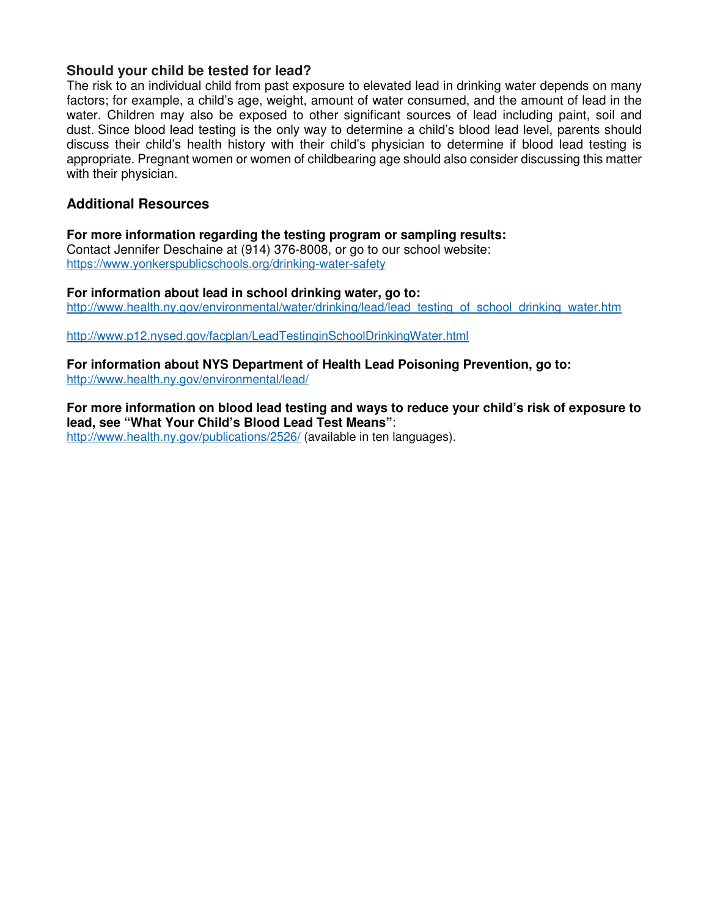### **Should your child be tested for lead?**

The risk to an individual child from past exposure to elevated lead in drinking water depends on many factors; for example, a child's age, weight, amount of water consumed, and the amount of lead in the water. Children may also be exposed to other significant sources of lead including paint, soil and dust. Since blood lead testing is the only way to determine a child's blood lead level, parents should discuss their child's health history with their child's physician to determine if blood lead testing is appropriate. Pregnant women or women of childbearing age should also consider discussing this matter with their physician.

### **Additional Resources**

**For more information regarding the testing program or sampling results:** Contact Jennifer Deschaine at (914) 376-8008, or go to our school website: https://www.yonkerspublicschools.org/drinking-water-safety

**For information about lead in school drinking water, go to:**  http://www.health.ny.gov/environmental/water/drinking/lead/lead\_testing\_of\_school\_drinking\_water.htm

http://www.p12.nysed.gov/facplan/LeadTestinginSchoolDrinkingWater.html

**For information about NYS Department of Health Lead Poisoning Prevention, go to:** http://www.health.ny.gov/environmental/lead/

**For more information on blood lead testing and ways to reduce your child's risk of exposure to lead, see "What Your Child's Blood Lead Test Means"**:

http://www.health.ny.gov/publications/2526/ (available in ten languages).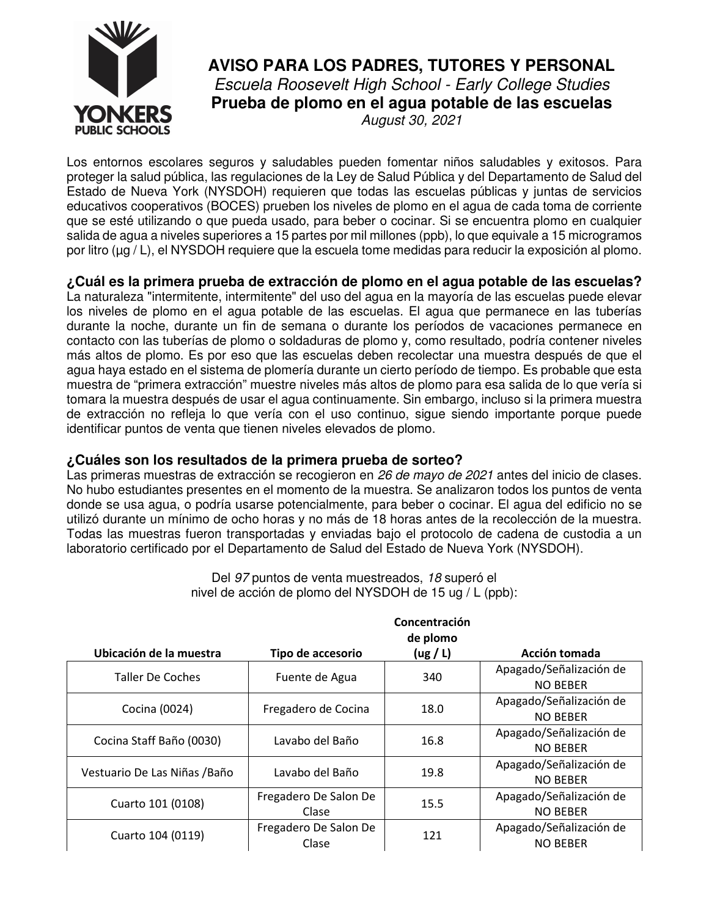

# **AVISO PARA LOS PADRES, TUTORES Y PERSONAL**  Escuela Roosevelt High School - Early College Studies **Prueba de plomo en el agua potable de las escuelas**  August 30, 2021

Los entornos escolares seguros y saludables pueden fomentar niños saludables y exitosos. Para proteger la salud pública, las regulaciones de la Ley de Salud Pública y del Departamento de Salud del Estado de Nueva York (NYSDOH) requieren que todas las escuelas públicas y juntas de servicios educativos cooperativos (BOCES) prueben los niveles de plomo en el agua de cada toma de corriente que se esté utilizando o que pueda usado, para beber o cocinar. Si se encuentra plomo en cualquier salida de agua a niveles superiores a 15 partes por mil millones (ppb), lo que equivale a 15 microgramos por litro (µg / L), el NYSDOH requiere que la escuela tome medidas para reducir la exposición al plomo.

**¿Cuál es la primera prueba de extracción de plomo en el agua potable de las escuelas?**  La naturaleza "intermitente, intermitente" del uso del agua en la mayoría de las escuelas puede elevar

los niveles de plomo en el agua potable de las escuelas. El agua que permanece en las tuberías durante la noche, durante un fin de semana o durante los períodos de vacaciones permanece en contacto con las tuberías de plomo o soldaduras de plomo y, como resultado, podría contener niveles más altos de plomo. Es por eso que las escuelas deben recolectar una muestra después de que el agua haya estado en el sistema de plomería durante un cierto período de tiempo. Es probable que esta muestra de "primera extracción" muestre niveles más altos de plomo para esa salida de lo que vería si tomara la muestra después de usar el agua continuamente. Sin embargo, incluso si la primera muestra de extracción no refleja lo que vería con el uso continuo, sigue siendo importante porque puede identificar puntos de venta que tienen niveles elevados de plomo.

## **¿Cuáles son los resultados de la primera prueba de sorteo?**

Las primeras muestras de extracción se recogieron en 26 de mayo de 2021 antes del inicio de clases. No hubo estudiantes presentes en el momento de la muestra. Se analizaron todos los puntos de venta donde se usa agua, o podría usarse potencialmente, para beber o cocinar. El agua del edificio no se utilizó durante un mínimo de ocho horas y no más de 18 horas antes de la recolección de la muestra. Todas las muestras fueron transportadas y enviadas bajo el protocolo de cadena de custodia a un laboratorio certificado por el Departamento de Salud del Estado de Nueva York (NYSDOH).

|                                                     |                                | Concentración<br>de plomo |                                            |
|-----------------------------------------------------|--------------------------------|---------------------------|--------------------------------------------|
| Ubicación de la muestra                             | Tipo de accesorio              | (ug / L)                  | Acción tomada                              |
| <b>Taller De Coches</b>                             | Fuente de Agua                 | 340                       | Apagado/Señalización de<br><b>NO BEBER</b> |
| Cocina (0024)                                       | Fregadero de Cocina            | 18.0                      | Apagado/Señalización de<br><b>NO BEBER</b> |
| Cocina Staff Baño (0030)                            | Lavabo del Baño                | 16.8                      | Apagado/Señalización de<br><b>NO BEBER</b> |
| Vestuario De Las Niñas / Baño                       | Lavabo del Baño                | 19.8                      | Apagado/Señalización de<br><b>NO BEBER</b> |
| Fregadero De Salon De<br>Cuarto 101 (0108)<br>Clase |                                | 15.5                      | Apagado/Señalización de<br><b>NO BEBER</b> |
| Cuarto 104 (0119)                                   | Fregadero De Salon De<br>Clase | 121                       | Apagado/Señalización de<br><b>NO BEBER</b> |

Del 97 puntos de venta muestreados, 18 superó el nivel de acción de plomo del NYSDOH de 15 ug / L (ppb):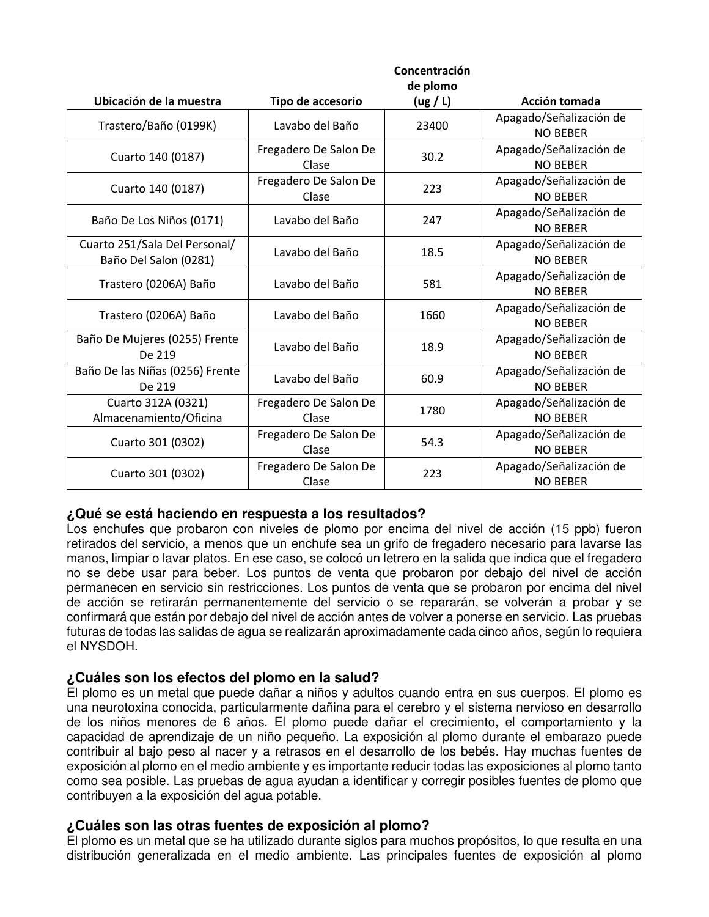|                                                        |                                | Concentración |                                            |
|--------------------------------------------------------|--------------------------------|---------------|--------------------------------------------|
|                                                        |                                | de plomo      |                                            |
| Ubicación de la muestra                                | Tipo de accesorio              | (ug / L)      | Acción tomada                              |
| Trastero/Baño (0199K)                                  | Lavabo del Baño                | 23400         | Apagado/Señalización de<br><b>NO BEBER</b> |
| Cuarto 140 (0187)                                      | Fregadero De Salon De<br>Clase | 30.2          | Apagado/Señalización de<br><b>NO BEBER</b> |
| Cuarto 140 (0187)                                      | Fregadero De Salon De<br>Clase | 223           | Apagado/Señalización de<br><b>NO BEBER</b> |
| Baño De Los Niños (0171)                               | Lavabo del Baño                | 247           | Apagado/Señalización de<br><b>NO BEBER</b> |
| Cuarto 251/Sala Del Personal/<br>Baño Del Salon (0281) | Lavabo del Baño                | 18.5          | Apagado/Señalización de<br><b>NO BEBER</b> |
| Trastero (0206A) Baño                                  | Lavabo del Baño                | 581           | Apagado/Señalización de<br><b>NO BEBER</b> |
| Trastero (0206A) Baño                                  | Lavabo del Baño                | 1660          | Apagado/Señalización de<br><b>NO BEBER</b> |
| Baño De Mujeres (0255) Frente<br>De 219                | Lavabo del Baño                | 18.9          | Apagado/Señalización de<br><b>NO BEBER</b> |
| Baño De las Niñas (0256) Frente<br>De 219              | Lavabo del Baño                | 60.9          | Apagado/Señalización de<br><b>NO BEBER</b> |
| Cuarto 312A (0321)<br>Almacenamiento/Oficina           | Fregadero De Salon De<br>Clase | 1780          | Apagado/Señalización de<br><b>NO BEBER</b> |
| Cuarto 301 (0302)                                      | Fregadero De Salon De<br>Clase | 54.3          | Apagado/Señalización de<br><b>NO BEBER</b> |
| Cuarto 301 (0302)                                      | Fregadero De Salon De<br>Clase | 223           | Apagado/Señalización de<br><b>NO BEBER</b> |

### **¿Qué se está haciendo en respuesta a los resultados?**

Los enchufes que probaron con niveles de plomo por encima del nivel de acción (15 ppb) fueron retirados del servicio, a menos que un enchufe sea un grifo de fregadero necesario para lavarse las manos, limpiar o lavar platos. En ese caso, se colocó un letrero en la salida que indica que el fregadero no se debe usar para beber. Los puntos de venta que probaron por debajo del nivel de acción permanecen en servicio sin restricciones. Los puntos de venta que se probaron por encima del nivel de acción se retirarán permanentemente del servicio o se repararán, se volverán a probar y se confirmará que están por debajo del nivel de acción antes de volver a ponerse en servicio. Las pruebas futuras de todas las salidas de agua se realizarán aproximadamente cada cinco años, según lo requiera el NYSDOH.

## **¿Cuáles son los efectos del plomo en la salud?**

El plomo es un metal que puede dañar a niños y adultos cuando entra en sus cuerpos. El plomo es una neurotoxina conocida, particularmente dañina para el cerebro y el sistema nervioso en desarrollo de los niños menores de 6 años. El plomo puede dañar el crecimiento, el comportamiento y la capacidad de aprendizaje de un niño pequeño. La exposición al plomo durante el embarazo puede contribuir al bajo peso al nacer y a retrasos en el desarrollo de los bebés. Hay muchas fuentes de exposición al plomo en el medio ambiente y es importante reducir todas las exposiciones al plomo tanto como sea posible. Las pruebas de agua ayudan a identificar y corregir posibles fuentes de plomo que contribuyen a la exposición del agua potable.

### **¿Cuáles son las otras fuentes de exposición al plomo?**

El plomo es un metal que se ha utilizado durante siglos para muchos propósitos, lo que resulta en una distribución generalizada en el medio ambiente. Las principales fuentes de exposición al plomo